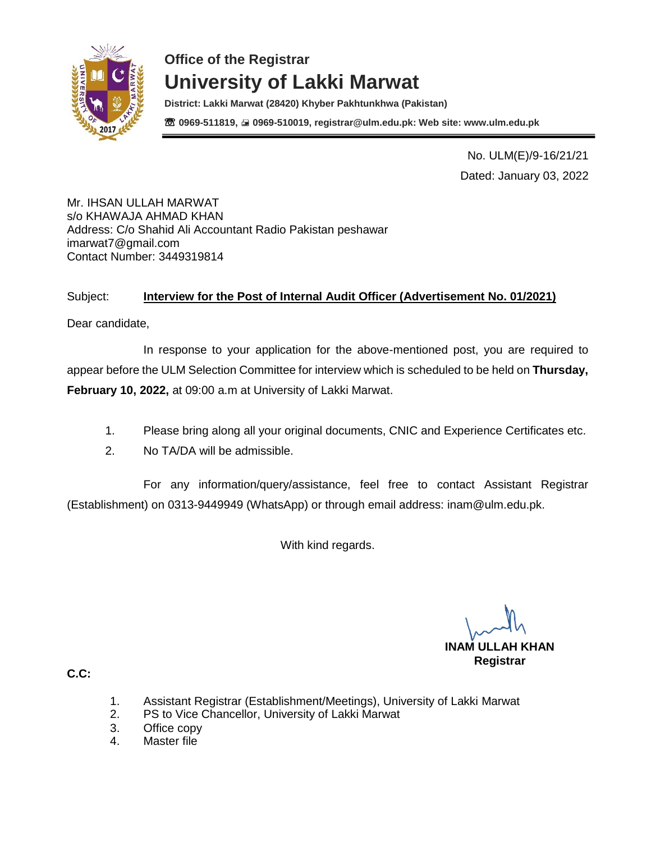

**District: Lakki Marwat (28420) Khyber Pakhtunkhwa (Pakistan)** ☏ **0969-511819, 0969-510019, registrar@ulm.edu.pk: Web site: www.ulm.edu.pk**

> No. ULM(E)/9-16/21/21 Dated: January 03, 2022

Mr. IHSAN ULLAH MARWAT s/o KHAWAJA AHMAD KHAN Address: C/o Shahid Ali Accountant Radio Pakistan peshawar imarwat7@gmail.com Contact Number: 3449319814

### Subject: **Interview for the Post of Internal Audit Officer (Advertisement No. 01/2021)**

Dear candidate,

In response to your application for the above-mentioned post, you are required to appear before the ULM Selection Committee for interview which is scheduled to be held on **Thursday, February 10, 2022,** at 09:00 a.m at University of Lakki Marwat.

- 1. Please bring along all your original documents, CNIC and Experience Certificates etc.
- 2. No TA/DA will be admissible.

For any information/query/assistance, feel free to contact Assistant Registrar (Establishment) on 0313-9449949 (WhatsApp) or through email address: [inam@ulm.edu.pk.](mailto:inam@ulm.edu.pk)

With kind regards.

**INAM ULLAH KHAN Registrar** 

- 1. Assistant Registrar (Establishment/Meetings), University of Lakki Marwat
- 2. PS to Vice Chancellor, University of Lakki Marwat
- 3. Office copy
- 4. Master file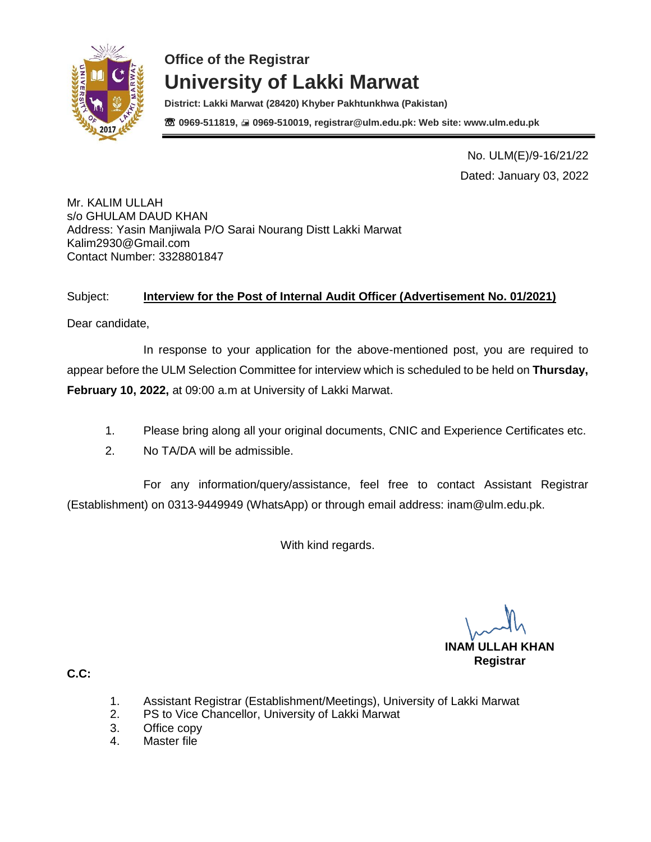

**District: Lakki Marwat (28420) Khyber Pakhtunkhwa (Pakistan)** ☏ **0969-511819, 0969-510019, registrar@ulm.edu.pk: Web site: www.ulm.edu.pk**

> No. ULM(E)/9-16/21/22 Dated: January 03, 2022

Mr. KALIM ULLAH s/o GHULAM DAUD KHAN Address: Yasin Manjiwala P/O Sarai Nourang Distt Lakki Marwat [Kalim2930@Gmail.com](mailto:Kalim2930@Gmail.com) Contact Number: 3328801847

### Subject: **Interview for the Post of Internal Audit Officer (Advertisement No. 01/2021)**

Dear candidate,

In response to your application for the above-mentioned post, you are required to appear before the ULM Selection Committee for interview which is scheduled to be held on **Thursday, February 10, 2022,** at 09:00 a.m at University of Lakki Marwat.

- 1. Please bring along all your original documents, CNIC and Experience Certificates etc.
- 2. No TA/DA will be admissible.

For any information/query/assistance, feel free to contact Assistant Registrar (Establishment) on 0313-9449949 (WhatsApp) or through email address: [inam@ulm.edu.pk.](mailto:inam@ulm.edu.pk)

With kind regards.

**INAM ULLAH KHAN Registrar** 

- 1. Assistant Registrar (Establishment/Meetings), University of Lakki Marwat
- 2. PS to Vice Chancellor, University of Lakki Marwat
- 3. Office copy
- 4. Master file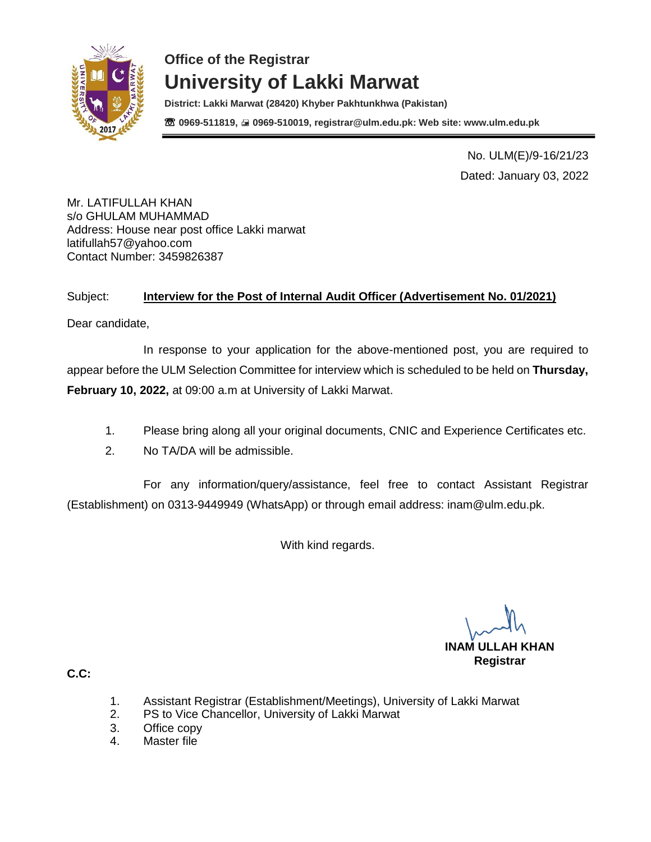

**District: Lakki Marwat (28420) Khyber Pakhtunkhwa (Pakistan)** ☏ **0969-511819, 0969-510019, registrar@ulm.edu.pk: Web site: www.ulm.edu.pk**

> No. ULM(E)/9-16/21/23 Dated: January 03, 2022

Mr. LATIFULLAH KHAN s/o GHULAM MUHAMMAD Address: House near post office Lakki marwat latifullah57@yahoo.com Contact Number: 3459826387

### Subject: **Interview for the Post of Internal Audit Officer (Advertisement No. 01/2021)**

Dear candidate,

In response to your application for the above-mentioned post, you are required to appear before the ULM Selection Committee for interview which is scheduled to be held on **Thursday, February 10, 2022,** at 09:00 a.m at University of Lakki Marwat.

- 1. Please bring along all your original documents, CNIC and Experience Certificates etc.
- 2. No TA/DA will be admissible.

For any information/query/assistance, feel free to contact Assistant Registrar (Establishment) on 0313-9449949 (WhatsApp) or through email address: [inam@ulm.edu.pk.](mailto:inam@ulm.edu.pk)

With kind regards.

**INAM ULLAH KHAN Registrar** 

- 1. Assistant Registrar (Establishment/Meetings), University of Lakki Marwat
- 2. PS to Vice Chancellor, University of Lakki Marwat
- 3. Office copy
- 4. Master file